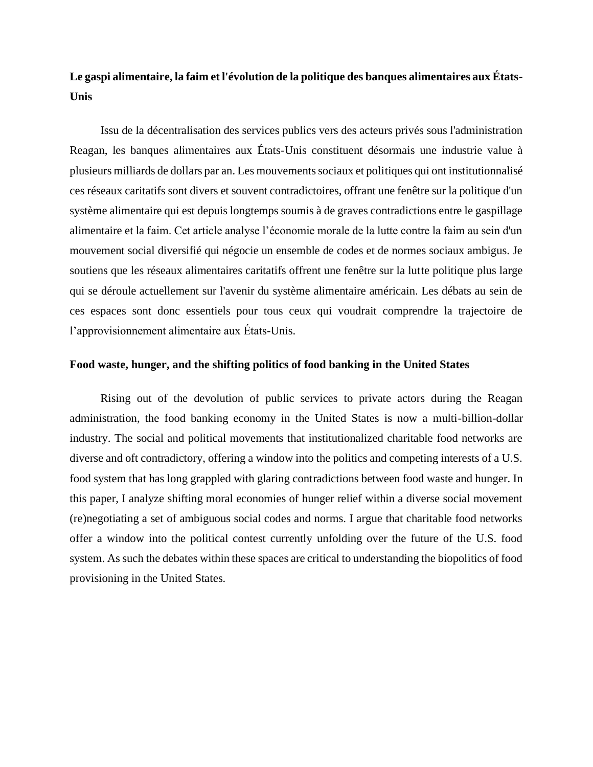# **Le gaspi alimentaire, la faim et l'évolution de la politique des banques alimentaires aux États-Unis**

Issu de la décentralisation des services publics vers des acteurs privés sous l'administration Reagan, les banques alimentaires aux États-Unis constituent désormais une industrie value à plusieurs milliards de dollars par an. Les mouvements sociaux et politiques qui ont institutionnalisé ces réseaux caritatifs sont divers et souvent contradictoires, offrant une fenêtre sur la politique d'un système alimentaire qui est depuis longtemps soumis à de graves contradictions entre le gaspillage alimentaire et la faim. Cet article analyse l'économie morale de la lutte contre la faim au sein d'un mouvement social diversifié qui négocie un ensemble de codes et de normes sociaux ambigus. Je soutiens que les réseaux alimentaires caritatifs offrent une fenêtre sur la lutte politique plus large qui se déroule actuellement sur l'avenir du système alimentaire américain. Les débats au sein de ces espaces sont donc essentiels pour tous ceux qui voudrait comprendre la trajectoire de l'approvisionnement alimentaire aux États-Unis.

### **Food waste, hunger, and the shifting politics of food banking in the United States**

Rising out of the devolution of public services to private actors during the Reagan administration, the food banking economy in the United States is now a multi-billion-dollar industry. The social and political movements that institutionalized charitable food networks are diverse and oft contradictory, offering a window into the politics and competing interests of a U.S. food system that has long grappled with glaring contradictions between food waste and hunger. In this paper, I analyze shifting moral economies of hunger relief within a diverse social movement (re)negotiating a set of ambiguous social codes and norms. I argue that charitable food networks offer a window into the political contest currently unfolding over the future of the U.S. food system. As such the debates within these spaces are critical to understanding the biopolitics of food provisioning in the United States.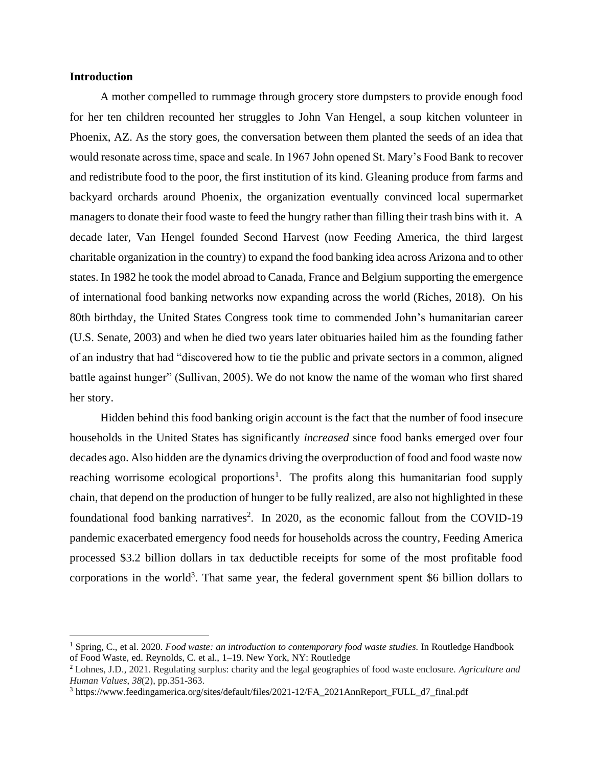# **Introduction**

A mother compelled to rummage through grocery store dumpsters to provide enough food for her ten children recounted her struggles to John Van Hengel, a soup kitchen volunteer in Phoenix, AZ. As the story goes, the conversation between them planted the seeds of an idea that would resonate across time, space and scale. In 1967 John opened St. Mary's Food Bank to recover and redistribute food to the poor, the first institution of its kind. Gleaning produce from farms and backyard orchards around Phoenix, the organization eventually convinced local supermarket managers to donate their food waste to feed the hungry rather than filling their trash bins with it. A decade later, Van Hengel founded Second Harvest (now Feeding America, the third largest charitable organization in the country) to expand the food banking idea across Arizona and to other states. In 1982 he took the model abroad to Canada, France and Belgium supporting the emergence of international food banking networks now expanding across the world (Riches, 2018). On his 80th birthday, the United States Congress took time to commended John's humanitarian career (U.S. Senate, 2003) and when he died two years later obituaries hailed him as the founding father of an industry that had "discovered how to tie the public and private sectors in a common, aligned battle against hunger" (Sullivan, 2005). We do not know the name of the woman who first shared her story.

Hidden behind this food banking origin account is the fact that the number of food insecure households in the United States has significantly *increased* since food banks emerged over four decades ago. Also hidden are the dynamics driving the overproduction of food and food waste now reaching worrisome ecological proportions<sup>1</sup>. The profits along this humanitarian food supply chain, that depend on the production of hunger to be fully realized, are also not highlighted in these foundational food banking narratives<sup>2</sup>. In 2020, as the economic fallout from the COVID-19 pandemic exacerbated emergency food needs for households across the country, Feeding America processed \$3.2 billion dollars in tax deductible receipts for some of the most profitable food corporations in the world<sup>3</sup>. That same year, the federal government spent \$6 billion dollars to

<sup>1</sup> Spring, C., et al. 2020. *Food waste: an introduction to contemporary food waste studies*. In Routledge Handbook of Food Waste, ed. Reynolds, C. et al., 1–19. New York, NY: Routledge

<sup>2</sup> Lohnes, J.D., 2021. Regulating surplus: charity and the legal geographies of food waste enclosure. *Agriculture and Human Values*, *38*(2), pp.351-363.

<sup>3</sup> https://www.feedingamerica.org/sites/default/files/2021-12/FA\_2021AnnReport\_FULL\_d7\_final.pdf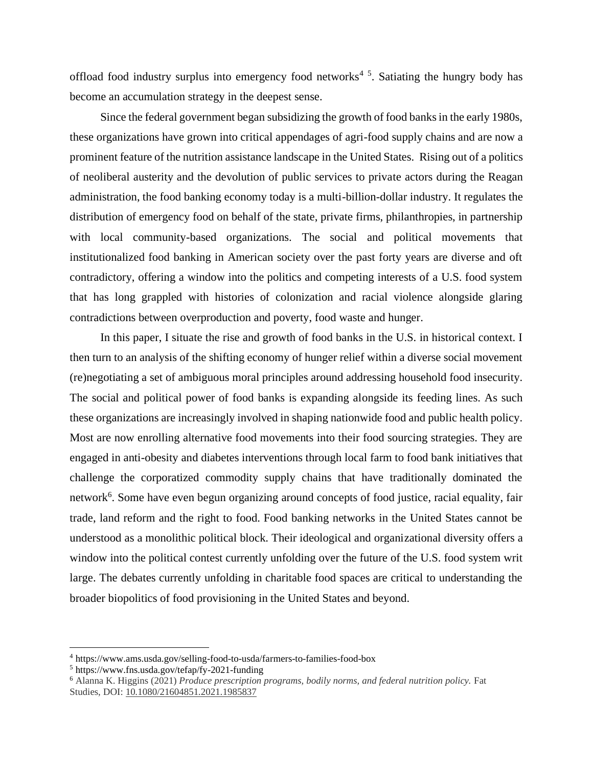offload food industry surplus into emergency food networks<sup>45</sup>. Satiating the hungry body has become an accumulation strategy in the deepest sense.

Since the federal government began subsidizing the growth of food banks in the early 1980s, these organizations have grown into critical appendages of agri-food supply chains and are now a prominent feature of the nutrition assistance landscape in the United States. Rising out of a politics of neoliberal austerity and the devolution of public services to private actors during the Reagan administration, the food banking economy today is a multi-billion-dollar industry. It regulates the distribution of emergency food on behalf of the state, private firms, philanthropies, in partnership with local community-based organizations. The social and political movements that institutionalized food banking in American society over the past forty years are diverse and oft contradictory, offering a window into the politics and competing interests of a U.S. food system that has long grappled with histories of colonization and racial violence alongside glaring contradictions between overproduction and poverty, food waste and hunger.

In this paper, I situate the rise and growth of food banks in the U.S. in historical context. I then turn to an analysis of the shifting economy of hunger relief within a diverse social movement (re)negotiating a set of ambiguous moral principles around addressing household food insecurity. The social and political power of food banks is expanding alongside its feeding lines. As such these organizations are increasingly involved in shaping nationwide food and public health policy. Most are now enrolling alternative food movements into their food sourcing strategies. They are engaged in anti-obesity and diabetes interventions through local farm to food bank initiatives that challenge the corporatized commodity supply chains that have traditionally dominated the network<sup>6</sup>. Some have even begun organizing around concepts of food justice, racial equality, fair trade, land reform and the right to food. Food banking networks in the United States cannot be understood as a monolithic political block. Their ideological and organizational diversity offers a window into the political contest currently unfolding over the future of the U.S. food system writ large. The debates currently unfolding in charitable food spaces are critical to understanding the broader biopolitics of food provisioning in the United States and beyond.

<sup>4</sup> https://www.ams.usda.gov/selling-food-to-usda/farmers-to-families-food-box

<sup>5</sup> https://www.fns.usda.gov/tefap/fy-2021-funding

<sup>6</sup> Alanna K. Higgins (2021) *Produce prescription programs, bodily norms, and federal nutrition policy.* Fat Studies, DOI: [10.1080/21604851.2021.1985837](https://doi.org/10.1080/21604851.2021.1985837)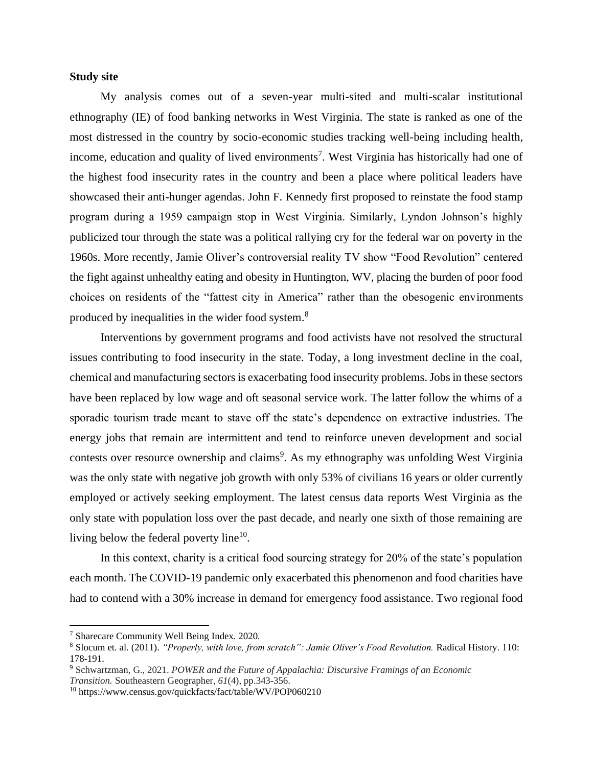# **Study site**

My analysis comes out of a seven-year multi-sited and multi-scalar institutional ethnography (IE) of food banking networks in West Virginia. The state is ranked as one of the most distressed in the country by socio-economic studies tracking well-being including health, income, education and quality of lived environments<sup>7</sup>. West Virginia has historically had one of the highest food insecurity rates in the country and been a place where political leaders have showcased their anti-hunger agendas. John F. Kennedy first proposed to reinstate the food stamp program during a 1959 campaign stop in West Virginia. Similarly, Lyndon Johnson's highly publicized tour through the state was a political rallying cry for the federal war on poverty in the 1960s. More recently, Jamie Oliver's controversial reality TV show "Food Revolution" centered the fight against unhealthy eating and obesity in Huntington, WV, placing the burden of poor food choices on residents of the "fattest city in America" rather than the obesogenic environments produced by inequalities in the wider food system.<sup>8</sup>

Interventions by government programs and food activists have not resolved the structural issues contributing to food insecurity in the state. Today, a long investment decline in the coal, chemical and manufacturing sectors is exacerbating food insecurity problems. Jobs in these sectors have been replaced by low wage and oft seasonal service work. The latter follow the whims of a sporadic tourism trade meant to stave off the state's dependence on extractive industries. The energy jobs that remain are intermittent and tend to reinforce uneven development and social contests over resource ownership and claims<sup>9</sup>. As my ethnography was unfolding West Virginia was the only state with negative job growth with only 53% of civilians 16 years or older currently employed or actively seeking employment. The latest census data reports West Virginia as the only state with population loss over the past decade, and nearly one sixth of those remaining are living below the federal poverty line<sup>10</sup>.

In this context, charity is a critical food sourcing strategy for 20% of the state's population each month. The COVID-19 pandemic only exacerbated this phenomenon and food charities have had to contend with a 30% increase in demand for emergency food assistance. Two regional food

<sup>7</sup> Sharecare Community Well Being Index. 2020.

<sup>8</sup> Slocum et. al. (2011). *"Properly, with love, from scratch": Jamie Oliver's Food Revolution.* Radical History. 110: 178-191.

<sup>9</sup> Schwartzman, G., 2021. *POWER and the Future of Appalachia: Discursive Framings of an Economic Transition.* Southeastern Geographer, *61*(4), pp.343-356.

<sup>10</sup> https://www.census.gov/quickfacts/fact/table/WV/POP060210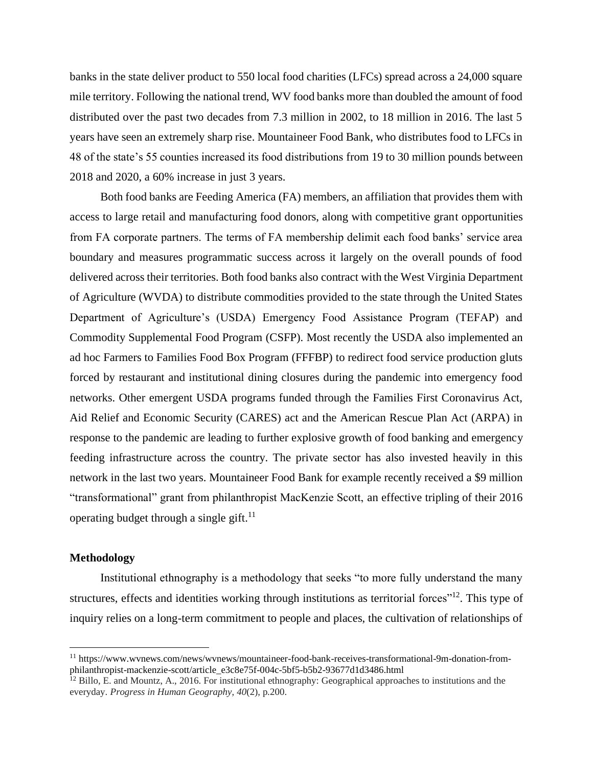banks in the state deliver product to 550 local food charities (LFCs) spread across a 24,000 square mile territory. Following the national trend, WV food banks more than doubled the amount of food distributed over the past two decades from 7.3 million in 2002, to 18 million in 2016. The last 5 years have seen an extremely sharp rise. Mountaineer Food Bank, who distributes food to LFCs in 48 of the state's 55 counties increased its food distributions from 19 to 30 million pounds between 2018 and 2020, a 60% increase in just 3 years.

Both food banks are Feeding America (FA) members, an affiliation that provides them with access to large retail and manufacturing food donors, along with competitive grant opportunities from FA corporate partners. The terms of FA membership delimit each food banks' service area boundary and measures programmatic success across it largely on the overall pounds of food delivered across their territories. Both food banks also contract with the West Virginia Department of Agriculture (WVDA) to distribute commodities provided to the state through the United States Department of Agriculture's (USDA) Emergency Food Assistance Program (TEFAP) and Commodity Supplemental Food Program (CSFP). Most recently the USDA also implemented an ad hoc Farmers to Families Food Box Program (FFFBP) to redirect food service production gluts forced by restaurant and institutional dining closures during the pandemic into emergency food networks. Other emergent USDA programs funded through the Families First Coronavirus Act, Aid Relief and Economic Security (CARES) act and the American Rescue Plan Act (ARPA) in response to the pandemic are leading to further explosive growth of food banking and emergency feeding infrastructure across the country. The private sector has also invested heavily in this network in the last two years. Mountaineer Food Bank for example recently received a \$9 million "transformational" grant from philanthropist MacKenzie Scott, an effective tripling of their 2016 operating budget through a single gift.<sup>11</sup>

# **Methodology**

Institutional ethnography is a methodology that seeks "to more fully understand the many structures, effects and identities working through institutions as territorial forces"<sup>12</sup>. This type of inquiry relies on a long-term commitment to people and places, the cultivation of relationships of

<sup>11</sup> https://www.wvnews.com/news/wvnews/mountaineer-food-bank-receives-transformational-9m-donation-fromphilanthropist-mackenzie-scott/article\_e3c8e75f-004c-5bf5-b5b2-93677d1d3486.html

 $12$  Billo, E. and Mountz, A., 2016. For institutional ethnography: Geographical approaches to institutions and the everyday. *Progress in Human Geography*, *40*(2), p.200.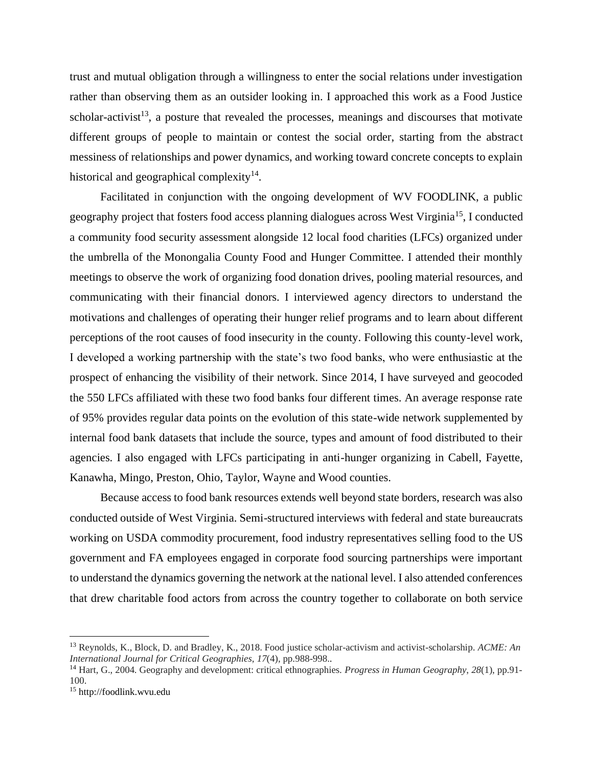trust and mutual obligation through a willingness to enter the social relations under investigation rather than observing them as an outsider looking in. I approached this work as a Food Justice scholar-activist<sup>13</sup>, a posture that revealed the processes, meanings and discourses that motivate different groups of people to maintain or contest the social order, starting from the abstract messiness of relationships and power dynamics, and working toward concrete concepts to explain historical and geographical complexity $14$ .

Facilitated in conjunction with the ongoing development of WV FOODLINK, a public geography project that fosters food access planning dialogues across West Virginia<sup>15</sup>, I conducted a community food security assessment alongside 12 local food charities (LFCs) organized under the umbrella of the Monongalia County Food and Hunger Committee. I attended their monthly meetings to observe the work of organizing food donation drives, pooling material resources, and communicating with their financial donors. I interviewed agency directors to understand the motivations and challenges of operating their hunger relief programs and to learn about different perceptions of the root causes of food insecurity in the county. Following this county-level work, I developed a working partnership with the state's two food banks, who were enthusiastic at the prospect of enhancing the visibility of their network. Since 2014, I have surveyed and geocoded the 550 LFCs affiliated with these two food banks four different times. An average response rate of 95% provides regular data points on the evolution of this state-wide network supplemented by internal food bank datasets that include the source, types and amount of food distributed to their agencies. I also engaged with LFCs participating in anti-hunger organizing in Cabell, Fayette, Kanawha, Mingo, Preston, Ohio, Taylor, Wayne and Wood counties.

Because access to food bank resources extends well beyond state borders, research was also conducted outside of West Virginia. Semi-structured interviews with federal and state bureaucrats working on USDA commodity procurement, food industry representatives selling food to the US government and FA employees engaged in corporate food sourcing partnerships were important to understand the dynamics governing the network at the national level. I also attended conferences that drew charitable food actors from across the country together to collaborate on both service

<sup>13</sup> Reynolds, K., Block, D. and Bradley, K., 2018. Food justice scholar-activism and activist-scholarship. *ACME: An International Journal for Critical Geographies*, *17*(4), pp.988-998..

<sup>14</sup> Hart, G., 2004. Geography and development: critical ethnographies. *Progress in Human Geography*, *28*(1), pp.91- 100.

<sup>15</sup> http://foodlink.wvu.edu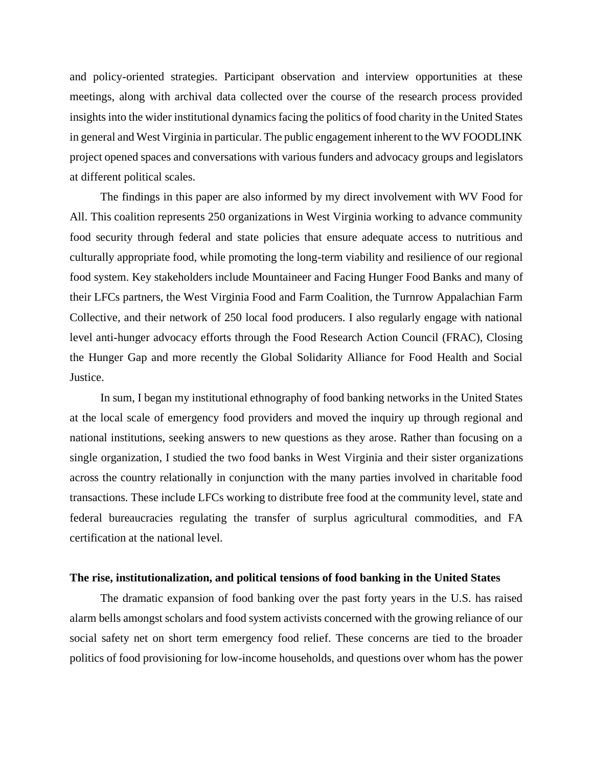and policy-oriented strategies. Participant observation and interview opportunities at these meetings, along with archival data collected over the course of the research process provided insights into the wider institutional dynamics facing the politics of food charity in the United States in general and West Virginia in particular. The public engagement inherent to the WV FOODLINK project opened spaces and conversations with various funders and advocacy groups and legislators at different political scales.

The findings in this paper are also informed by my direct involvement with WV Food for All. This coalition represents 250 organizations in West Virginia working to advance community food security through federal and state policies that ensure adequate access to nutritious and culturally appropriate food, while promoting the long-term viability and resilience of our regional food system. Key stakeholders include Mountaineer and Facing Hunger Food Banks and many of their LFCs partners, the West Virginia Food and Farm Coalition, the Turnrow Appalachian Farm Collective, and their network of 250 local food producers. I also regularly engage with national level anti-hunger advocacy efforts through the Food Research Action Council (FRAC), Closing the Hunger Gap and more recently the Global Solidarity Alliance for Food Health and Social Justice.

In sum, I began my institutional ethnography of food banking networks in the United States at the local scale of emergency food providers and moved the inquiry up through regional and national institutions, seeking answers to new questions as they arose. Rather than focusing on a single organization, I studied the two food banks in West Virginia and their sister organizations across the country relationally in conjunction with the many parties involved in charitable food transactions. These include LFCs working to distribute free food at the community level, state and federal bureaucracies regulating the transfer of surplus agricultural commodities, and FA certification at the national level.

#### **The rise, institutionalization, and political tensions of food banking in the United States**

The dramatic expansion of food banking over the past forty years in the U.S. has raised alarm bells amongst scholars and food system activists concerned with the growing reliance of our social safety net on short term emergency food relief. These concerns are tied to the broader politics of food provisioning for low-income households, and questions over whom has the power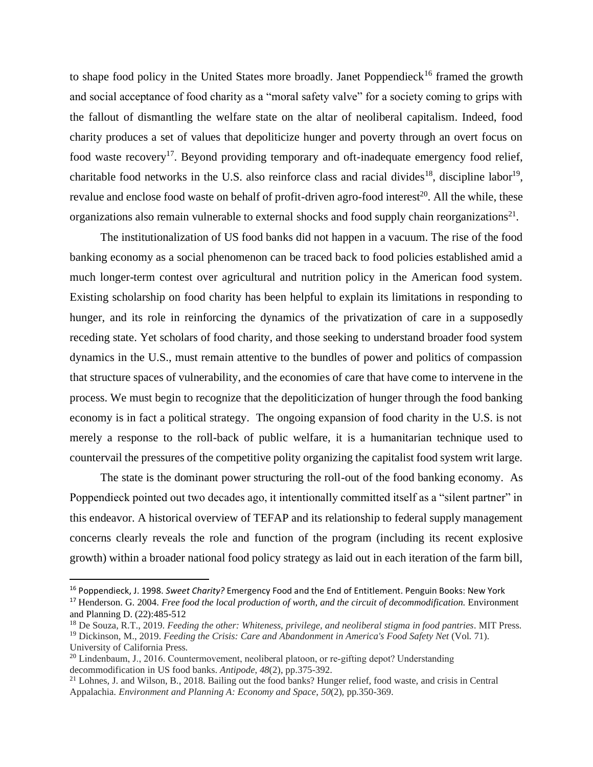to shape food policy in the United States more broadly. Janet Poppendieck<sup>16</sup> framed the growth and social acceptance of food charity as a "moral safety valve" for a society coming to grips with the fallout of dismantling the welfare state on the altar of neoliberal capitalism. Indeed, food charity produces a set of values that depoliticize hunger and poverty through an overt focus on food waste recovery<sup>17</sup>. Beyond providing temporary and oft-inadequate emergency food relief, charitable food networks in the U.S. also reinforce class and racial divides<sup>18</sup>, discipline labor<sup>19</sup>, revalue and enclose food waste on behalf of profit-driven agro-food interest<sup>20</sup>. All the while, these organizations also remain vulnerable to external shocks and food supply chain reorganizations<sup>21</sup>.

The institutionalization of US food banks did not happen in a vacuum. The rise of the food banking economy as a social phenomenon can be traced back to food policies established amid a much longer-term contest over agricultural and nutrition policy in the American food system. Existing scholarship on food charity has been helpful to explain its limitations in responding to hunger, and its role in reinforcing the dynamics of the privatization of care in a supposedly receding state. Yet scholars of food charity, and those seeking to understand broader food system dynamics in the U.S., must remain attentive to the bundles of power and politics of compassion that structure spaces of vulnerability, and the economies of care that have come to intervene in the process. We must begin to recognize that the depoliticization of hunger through the food banking economy is in fact a political strategy. The ongoing expansion of food charity in the U.S. is not merely a response to the roll-back of public welfare, it is a humanitarian technique used to countervail the pressures of the competitive polity organizing the capitalist food system writ large.

The state is the dominant power structuring the roll-out of the food banking economy. As Poppendieck pointed out two decades ago, it intentionally committed itself as a "silent partner" in this endeavor. A historical overview of TEFAP and its relationship to federal supply management concerns clearly reveals the role and function of the program (including its recent explosive growth) within a broader national food policy strategy as laid out in each iteration of the farm bill,

<sup>16</sup> Poppendieck, J. 1998. *Sweet Charity?* Emergency Food and the End of Entitlement. Penguin Books: New York

<sup>&</sup>lt;sup>17</sup> Henderson. G. 2004. *Free food the local production of worth, and the circuit of decommodification*. Environment and Planning D. (22):485-512

<sup>18</sup> De Souza, R.T., 2019. *Feeding the other: Whiteness, privilege, and neoliberal stigma in food pantries*. MIT Press.

<sup>19</sup> Dickinson, M., 2019. *Feeding the Crisis: Care and Abandonment in America's Food Safety Net* (Vol. 71). University of California Press.

<sup>&</sup>lt;sup>20</sup> Lindenbaum, J., 2016. Countermovement, neoliberal platoon, or re-gifting depot? Understanding decommodification in US food banks. *Antipode*, *48*(2), pp.375-392.

<sup>&</sup>lt;sup>21</sup> Lohnes, J. and Wilson, B., 2018. Bailing out the food banks? Hunger relief, food waste, and crisis in Central Appalachia. *Environment and Planning A: Economy and Space*, *50*(2), pp.350-369.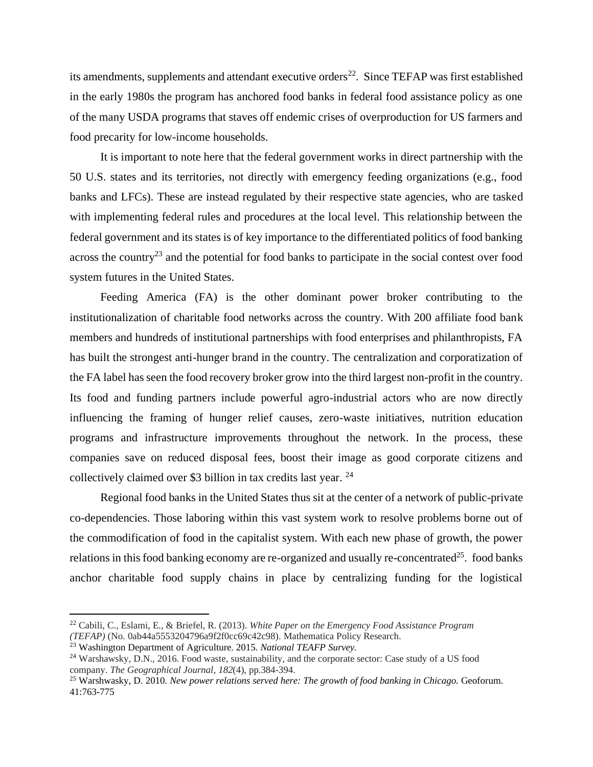its amendments, supplements and attendant executive orders<sup>22</sup>. Since TEFAP was first established in the early 1980s the program has anchored food banks in federal food assistance policy as one of the many USDA programs that staves off endemic crises of overproduction for US farmers and food precarity for low-income households.

It is important to note here that the federal government works in direct partnership with the 50 U.S. states and its territories, not directly with emergency feeding organizations (e.g., food banks and LFCs). These are instead regulated by their respective state agencies, who are tasked with implementing federal rules and procedures at the local level. This relationship between the federal government and its states is of key importance to the differentiated politics of food banking across the country<sup>23</sup> and the potential for food banks to participate in the social contest over food system futures in the United States.

Feeding America (FA) is the other dominant power broker contributing to the institutionalization of charitable food networks across the country. With 200 affiliate food bank members and hundreds of institutional partnerships with food enterprises and philanthropists, FA has built the strongest anti-hunger brand in the country. The centralization and corporatization of the FA label has seen the food recovery broker grow into the third largest non-profit in the country. Its food and funding partners include powerful agro-industrial actors who are now directly influencing the framing of hunger relief causes, zero-waste initiatives, nutrition education programs and infrastructure improvements throughout the network. In the process, these companies save on reduced disposal fees, boost their image as good corporate citizens and collectively claimed over \$3 billion in tax credits last year. <sup>24</sup>

Regional food banks in the United States thus sit at the center of a network of public-private co-dependencies. Those laboring within this vast system work to resolve problems borne out of the commodification of food in the capitalist system. With each new phase of growth, the power relations in this food banking economy are re-organized and usually re-concentrated<sup>25</sup>. food banks anchor charitable food supply chains in place by centralizing funding for the logistical

<sup>22</sup> Cabili, C., Eslami, E., & Briefel, R. (2013). *White Paper on the Emergency Food Assistance Program (TEFAP)* (No. 0ab44a5553204796a9f2f0cc69c42c98). Mathematica Policy Research.

<sup>23</sup> Washington Department of Agriculture. 2015. *National TEAFP Survey.* 

<sup>24</sup> Warshawsky, D.N., 2016. Food waste, sustainability, and the corporate sector: Case study of a US food company. *The Geographical Journal*, *182*(4), pp.384-394.

<sup>&</sup>lt;sup>25</sup> Warshwasky, D. 2010. *New power relations served here: The growth of food banking in Chicago.* Geoforum. 41:763-775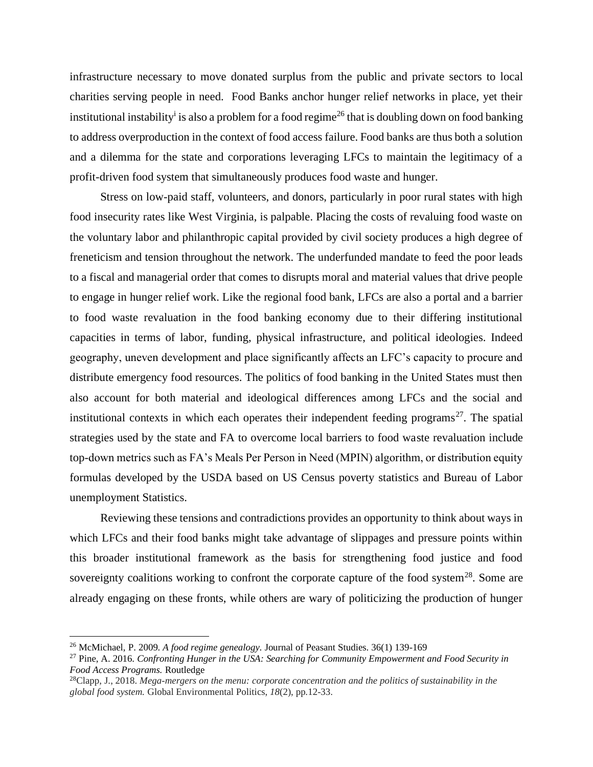infrastructure necessary to move donated surplus from the public and private sectors to local charities serving people in need. Food Banks anchor hunger relief networks in place, yet their institutional instability<sup>i</sup> is also a problem for a food regime<sup>26</sup> that is doubling down on food banking to address overproduction in the context of food access failure. Food banks are thus both a solution and a dilemma for the state and corporations leveraging LFCs to maintain the legitimacy of a profit-driven food system that simultaneously produces food waste and hunger.

Stress on low-paid staff, volunteers, and donors, particularly in poor rural states with high food insecurity rates like West Virginia, is palpable. Placing the costs of revaluing food waste on the voluntary labor and philanthropic capital provided by civil society produces a high degree of freneticism and tension throughout the network. The underfunded mandate to feed the poor leads to a fiscal and managerial order that comes to disrupts moral and material values that drive people to engage in hunger relief work. Like the regional food bank, LFCs are also a portal and a barrier to food waste revaluation in the food banking economy due to their differing institutional capacities in terms of labor, funding, physical infrastructure, and political ideologies. Indeed geography, uneven development and place significantly affects an LFC's capacity to procure and distribute emergency food resources. The politics of food banking in the United States must then also account for both material and ideological differences among LFCs and the social and institutional contexts in which each operates their independent feeding programs<sup>27</sup>. The spatial strategies used by the state and FA to overcome local barriers to food waste revaluation include top-down metrics such as FA's Meals Per Person in Need (MPIN) algorithm, or distribution equity formulas developed by the USDA based on US Census poverty statistics and Bureau of Labor unemployment Statistics.

Reviewing these tensions and contradictions provides an opportunity to think about ways in which LFCs and their food banks might take advantage of slippages and pressure points within this broader institutional framework as the basis for strengthening food justice and food sovereignty coalitions working to confront the corporate capture of the food system<sup>28</sup>. Some are already engaging on these fronts, while others are wary of politicizing the production of hunger

<sup>26</sup> McMichael, P. 2009. *A food regime genealogy.* Journal of Peasant Studies. 36(1) 139-169

<sup>27</sup> Pine, A. 2016. *Confronting Hunger in the USA: Searching for Community Empowerment and Food Security in Food Access Programs.* Routledge

<sup>28</sup>Clapp, J., 2018. *Mega-mergers on the menu: corporate concentration and the politics of sustainability in the global food system.* Global Environmental Politics, *18*(2), pp.12-33.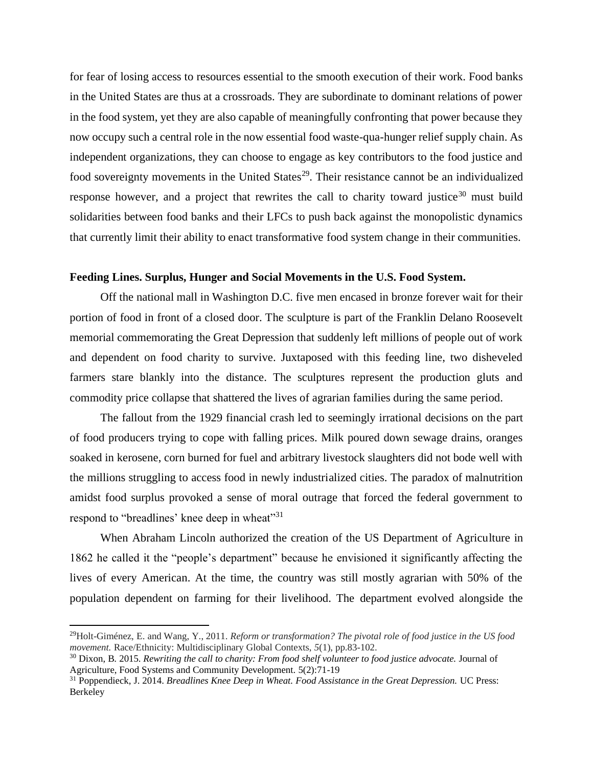for fear of losing access to resources essential to the smooth execution of their work. Food banks in the United States are thus at a crossroads. They are subordinate to dominant relations of power in the food system, yet they are also capable of meaningfully confronting that power because they now occupy such a central role in the now essential food waste-qua-hunger relief supply chain. As independent organizations, they can choose to engage as key contributors to the food justice and food sovereignty movements in the United States<sup>29</sup>. Their resistance cannot be an individualized response however, and a project that rewrites the call to charity toward justice<sup>30</sup> must build solidarities between food banks and their LFCs to push back against the monopolistic dynamics that currently limit their ability to enact transformative food system change in their communities.

# **Feeding Lines. Surplus, Hunger and Social Movements in the U.S. Food System.**

Off the national mall in Washington D.C. five men encased in bronze forever wait for their portion of food in front of a closed door. The sculpture is part of the Franklin Delano Roosevelt memorial commemorating the Great Depression that suddenly left millions of people out of work and dependent on food charity to survive. Juxtaposed with this feeding line, two disheveled farmers stare blankly into the distance. The sculptures represent the production gluts and commodity price collapse that shattered the lives of agrarian families during the same period.

The fallout from the 1929 financial crash led to seemingly irrational decisions on the part of food producers trying to cope with falling prices. Milk poured down sewage drains, oranges soaked in kerosene, corn burned for fuel and arbitrary livestock slaughters did not bode well with the millions struggling to access food in newly industrialized cities. The paradox of malnutrition amidst food surplus provoked a sense of moral outrage that forced the federal government to respond to "breadlines' knee deep in wheat"<sup>31</sup>

When Abraham Lincoln authorized the creation of the US Department of Agriculture in 1862 he called it the "people's department" because he envisioned it significantly affecting the lives of every American. At the time, the country was still mostly agrarian with 50% of the population dependent on farming for their livelihood. The department evolved alongside the

<sup>29</sup>Holt-Giménez, E. and Wang, Y., 2011. *Reform or transformation? The pivotal role of food justice in the US food movement.* Race/Ethnicity: Multidisciplinary Global Contexts, *5*(1), pp.83-102.

<sup>30</sup> Dixon, B. 2015. *Rewriting the call to charity: From food shelf volunteer to food justice advocate.* Journal of Agriculture, Food Systems and Community Development. 5(2):71-19

<sup>&</sup>lt;sup>31</sup> Poppendieck, J. 2014. *Breadlines Knee Deep in Wheat. Food Assistance in the Great Depression*. UC Press: Berkeley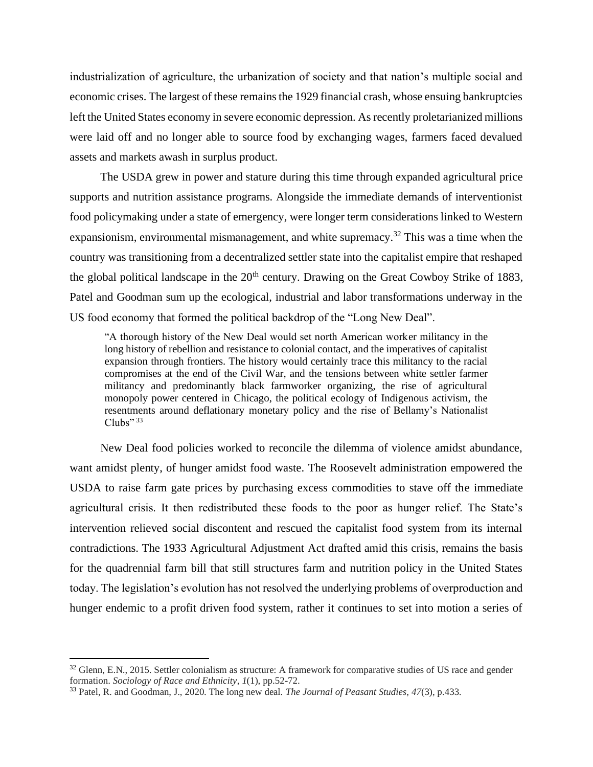industrialization of agriculture, the urbanization of society and that nation's multiple social and economic crises. The largest of these remains the 1929 financial crash, whose ensuing bankruptcies left the United States economy in severe economic depression. As recently proletarianized millions were laid off and no longer able to source food by exchanging wages, farmers faced devalued assets and markets awash in surplus product.

The USDA grew in power and stature during this time through expanded agricultural price supports and nutrition assistance programs. Alongside the immediate demands of interventionist food policymaking under a state of emergency, were longer term considerations linked to Western expansionism, environmental mismanagement, and white supremacy.<sup>32</sup> This was a time when the country was transitioning from a decentralized settler state into the capitalist empire that reshaped the global political landscape in the  $20<sup>th</sup>$  century. Drawing on the Great Cowboy Strike of 1883, Patel and Goodman sum up the ecological, industrial and labor transformations underway in the US food economy that formed the political backdrop of the "Long New Deal".

"A thorough history of the New Deal would set north American worker militancy in the long history of rebellion and resistance to colonial contact, and the imperatives of capitalist expansion through frontiers. The history would certainly trace this militancy to the racial compromises at the end of the Civil War, and the tensions between white settler farmer militancy and predominantly black farmworker organizing, the rise of agricultural monopoly power centered in Chicago, the political ecology of Indigenous activism, the resentments around deflationary monetary policy and the rise of Bellamy's Nationalist  $Clubs$ " 33

New Deal food policies worked to reconcile the dilemma of violence amidst abundance, want amidst plenty, of hunger amidst food waste. The Roosevelt administration empowered the USDA to raise farm gate prices by purchasing excess commodities to stave off the immediate agricultural crisis. It then redistributed these foods to the poor as hunger relief. The State's intervention relieved social discontent and rescued the capitalist food system from its internal contradictions. The 1933 Agricultural Adjustment Act drafted amid this crisis, remains the basis for the quadrennial farm bill that still structures farm and nutrition policy in the United States today. The legislation's evolution has not resolved the underlying problems of overproduction and hunger endemic to a profit driven food system, rather it continues to set into motion a series of

<sup>&</sup>lt;sup>32</sup> Glenn, E.N., 2015. Settler colonialism as structure: A framework for comparative studies of US race and gender formation. *Sociology of Race and Ethnicity*, *1*(1), pp.52-72.

<sup>33</sup> Patel, R. and Goodman, J., 2020. The long new deal. *The Journal of Peasant Studies*, *47*(3), p.433.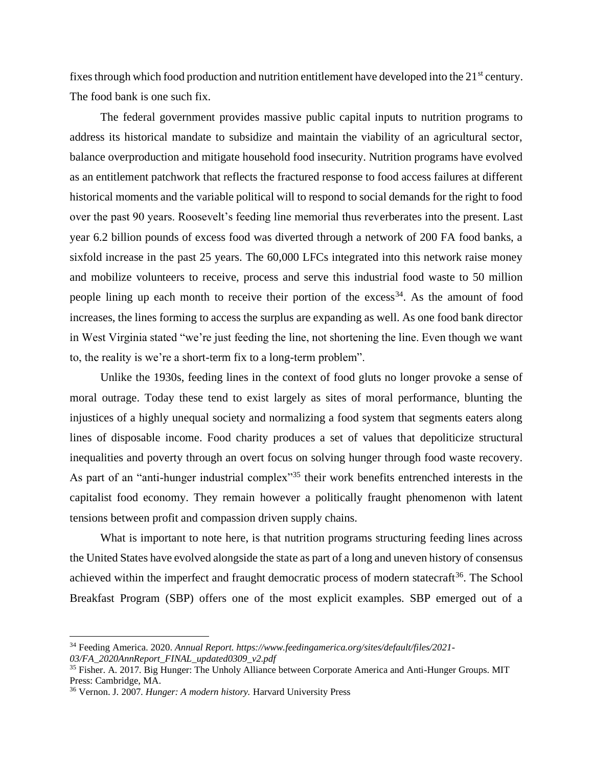fixes through which food production and nutrition entitlement have developed into the 21<sup>st</sup> century. The food bank is one such fix.

The federal government provides massive public capital inputs to nutrition programs to address its historical mandate to subsidize and maintain the viability of an agricultural sector, balance overproduction and mitigate household food insecurity. Nutrition programs have evolved as an entitlement patchwork that reflects the fractured response to food access failures at different historical moments and the variable political will to respond to social demands for the right to food over the past 90 years. Roosevelt's feeding line memorial thus reverberates into the present. Last year 6.2 billion pounds of excess food was diverted through a network of 200 FA food banks, a sixfold increase in the past 25 years. The 60,000 LFCs integrated into this network raise money and mobilize volunteers to receive, process and serve this industrial food waste to 50 million people lining up each month to receive their portion of the  $excess<sup>34</sup>$ . As the amount of food increases, the lines forming to access the surplus are expanding as well. As one food bank director in West Virginia stated "we're just feeding the line, not shortening the line. Even though we want to, the reality is we're a short-term fix to a long-term problem".

Unlike the 1930s, feeding lines in the context of food gluts no longer provoke a sense of moral outrage. Today these tend to exist largely as sites of moral performance, blunting the injustices of a highly unequal society and normalizing a food system that segments eaters along lines of disposable income. Food charity produces a set of values that depoliticize structural inequalities and poverty through an overt focus on solving hunger through food waste recovery. As part of an "anti-hunger industrial complex"<sup>35</sup> their work benefits entrenched interests in the capitalist food economy. They remain however a politically fraught phenomenon with latent tensions between profit and compassion driven supply chains.

What is important to note here, is that nutrition programs structuring feeding lines across the United States have evolved alongside the state as part of a long and uneven history of consensus achieved within the imperfect and fraught democratic process of modern statecraft<sup>36</sup>. The School Breakfast Program (SBP) offers one of the most explicit examples. SBP emerged out of a

<sup>34</sup> Feeding America. 2020. *Annual Report. https://www.feedingamerica.org/sites/default/files/2021- 03/FA\_2020AnnReport\_FINAL\_updated0309\_v2.pdf*

<sup>&</sup>lt;sup>35</sup> Fisher. A. 2017. Big Hunger: The Unholy Alliance between Corporate America and Anti-Hunger Groups. MIT Press: Cambridge, MA.

<sup>36</sup> Vernon. J. 2007. *Hunger: A modern history.* Harvard University Press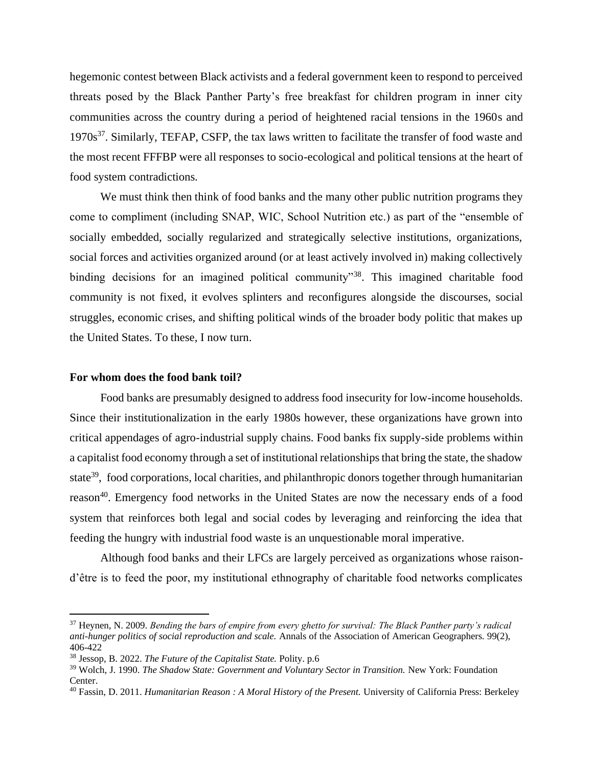hegemonic contest between Black activists and a federal government keen to respond to perceived threats posed by the Black Panther Party's free breakfast for children program in inner city communities across the country during a period of heightened racial tensions in the 1960s and  $1970s<sup>37</sup>$ . Similarly, TEFAP, CSFP, the tax laws written to facilitate the transfer of food waste and the most recent FFFBP were all responses to socio-ecological and political tensions at the heart of food system contradictions.

We must think then think of food banks and the many other public nutrition programs they come to compliment (including SNAP, WIC, School Nutrition etc.) as part of the "ensemble of socially embedded, socially regularized and strategically selective institutions, organizations, social forces and activities organized around (or at least actively involved in) making collectively binding decisions for an imagined political community<sup>38</sup>. This imagined charitable food community is not fixed, it evolves splinters and reconfigures alongside the discourses, social struggles, economic crises, and shifting political winds of the broader body politic that makes up the United States. To these, I now turn.

#### **For whom does the food bank toil?**

Food banks are presumably designed to address food insecurity for low-income households. Since their institutionalization in the early 1980s however, these organizations have grown into critical appendages of agro-industrial supply chains. Food banks fix supply-side problems within a capitalist food economy through a set of institutional relationships that bring the state, the shadow state<sup>39</sup>, food corporations, local charities, and philanthropic donors together through humanitarian reason<sup>40</sup>. Emergency food networks in the United States are now the necessary ends of a food system that reinforces both legal and social codes by leveraging and reinforcing the idea that feeding the hungry with industrial food waste is an unquestionable moral imperative.

Although food banks and their LFCs are largely perceived as organizations whose raisond'être is to feed the poor, my institutional ethnography of charitable food networks complicates

<sup>37</sup> Heynen, N. 2009. *Bending the bars of empire from every ghetto for survival: The Black Panther party's radical anti-hunger politics of social reproduction and scale.* Annals of the Association of American Geographers. 99(2), 406-422

<sup>38</sup> Jessop, B. 2022. *The Future of the Capitalist State.* Polity. p.6

<sup>&</sup>lt;sup>39</sup> Wolch, J. 1990. *The Shadow State: Government and Voluntary Sector in Transition*. New York: Foundation Center.

<sup>40</sup> Fassin, D. 2011. *Humanitarian Reason : A Moral History of the Present.* University of California Press: Berkeley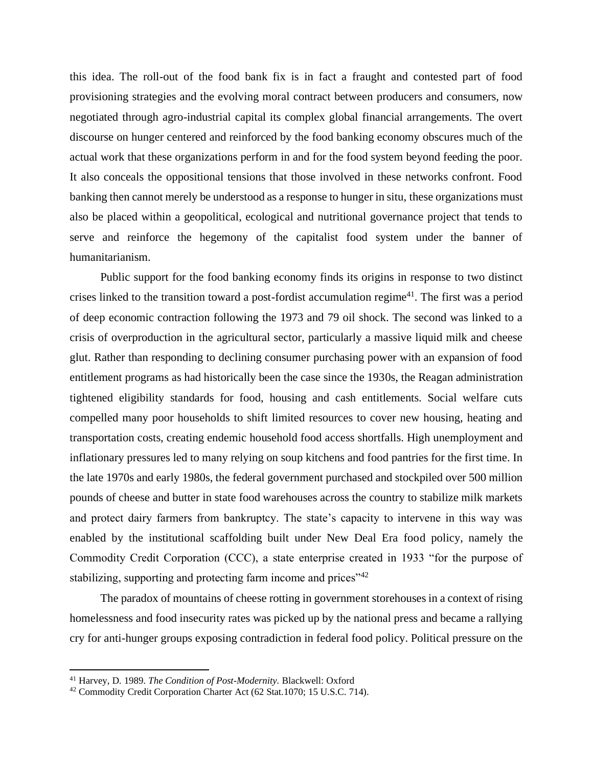this idea. The roll-out of the food bank fix is in fact a fraught and contested part of food provisioning strategies and the evolving moral contract between producers and consumers, now negotiated through agro-industrial capital its complex global financial arrangements. The overt discourse on hunger centered and reinforced by the food banking economy obscures much of the actual work that these organizations perform in and for the food system beyond feeding the poor. It also conceals the oppositional tensions that those involved in these networks confront. Food banking then cannot merely be understood as a response to hunger in situ, these organizations must also be placed within a geopolitical, ecological and nutritional governance project that tends to serve and reinforce the hegemony of the capitalist food system under the banner of humanitarianism.

Public support for the food banking economy finds its origins in response to two distinct crises linked to the transition toward a post-fordist accumulation regime<sup>41</sup>. The first was a period of deep economic contraction following the 1973 and 79 oil shock. The second was linked to a crisis of overproduction in the agricultural sector, particularly a massive liquid milk and cheese glut. Rather than responding to declining consumer purchasing power with an expansion of food entitlement programs as had historically been the case since the 1930s, the Reagan administration tightened eligibility standards for food, housing and cash entitlements. Social welfare cuts compelled many poor households to shift limited resources to cover new housing, heating and transportation costs, creating endemic household food access shortfalls. High unemployment and inflationary pressures led to many relying on soup kitchens and food pantries for the first time. In the late 1970s and early 1980s, the federal government purchased and stockpiled over 500 million pounds of cheese and butter in state food warehouses across the country to stabilize milk markets and protect dairy farmers from bankruptcy. The state's capacity to intervene in this way was enabled by the institutional scaffolding built under New Deal Era food policy, namely the Commodity Credit Corporation (CCC), a state enterprise created in 1933 "for the purpose of stabilizing, supporting and protecting farm income and prices<sup>"42</sup>

The paradox of mountains of cheese rotting in government storehouses in a context of rising homelessness and food insecurity rates was picked up by the national press and became a rallying cry for anti-hunger groups exposing contradiction in federal food policy. Political pressure on the

<sup>41</sup> Harvey, D. 1989. *The Condition of Post-Modernity.* Blackwell: Oxford

<sup>&</sup>lt;sup>42</sup> Commodity Credit Corporation Charter Act (62 Stat.1070; 15 U.S.C. 714).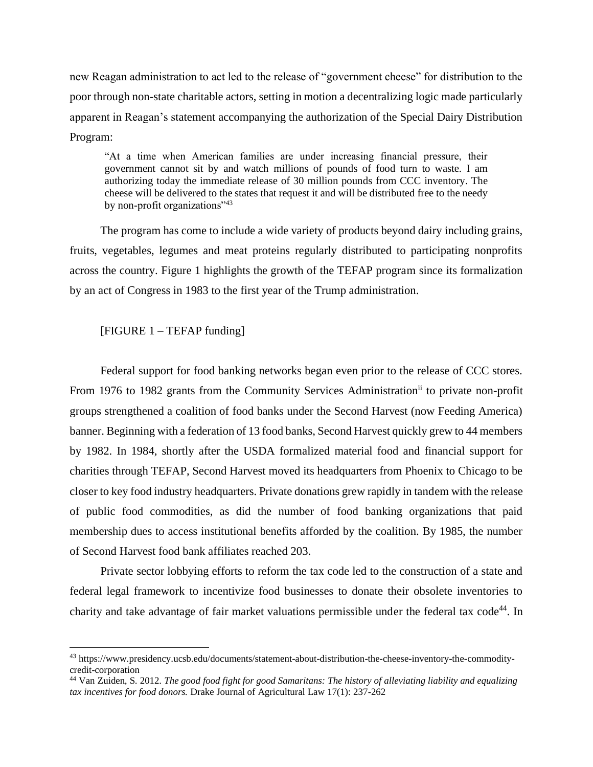new Reagan administration to act led to the release of "government cheese" for distribution to the poor through non-state charitable actors, setting in motion a decentralizing logic made particularly apparent in Reagan's statement accompanying the authorization of the Special Dairy Distribution Program:

"At a time when American families are under increasing financial pressure, their government cannot sit by and watch millions of pounds of food turn to waste. I am authorizing today the immediate release of 30 million pounds from CCC inventory. The cheese will be delivered to the states that request it and will be distributed free to the needy by non-profit organizations"<sup>43</sup>

The program has come to include a wide variety of products beyond dairy including grains, fruits, vegetables, legumes and meat proteins regularly distributed to participating nonprofits across the country. Figure 1 highlights the growth of the TEFAP program since its formalization by an act of Congress in 1983 to the first year of the Trump administration.

# [FIGURE 1 – TEFAP funding]

Federal support for food banking networks began even prior to the release of CCC stores. From 1976 to 1982 grants from the Community Services Administration<sup>ii</sup> to private non-profit groups strengthened a coalition of food banks under the Second Harvest (now Feeding America) banner. Beginning with a federation of 13 food banks, Second Harvest quickly grew to 44 members by 1982. In 1984, shortly after the USDA formalized material food and financial support for charities through TEFAP, Second Harvest moved its headquarters from Phoenix to Chicago to be closer to key food industry headquarters. Private donations grew rapidly in tandem with the release of public food commodities, as did the number of food banking organizations that paid membership dues to access institutional benefits afforded by the coalition. By 1985, the number of Second Harvest food bank affiliates reached 203.

Private sector lobbying efforts to reform the tax code led to the construction of a state and federal legal framework to incentivize food businesses to donate their obsolete inventories to charity and take advantage of fair market valuations permissible under the federal tax  $\text{code}^{44}$ . In

<sup>43</sup> https://www.presidency.ucsb.edu/documents/statement-about-distribution-the-cheese-inventory-the-commoditycredit-corporation

<sup>44</sup> Van Zuiden, S. 2012. *The good food fight for good Samaritans: The history of alleviating liability and equalizing tax incentives for food donors.* Drake Journal of Agricultural Law 17(1): 237-262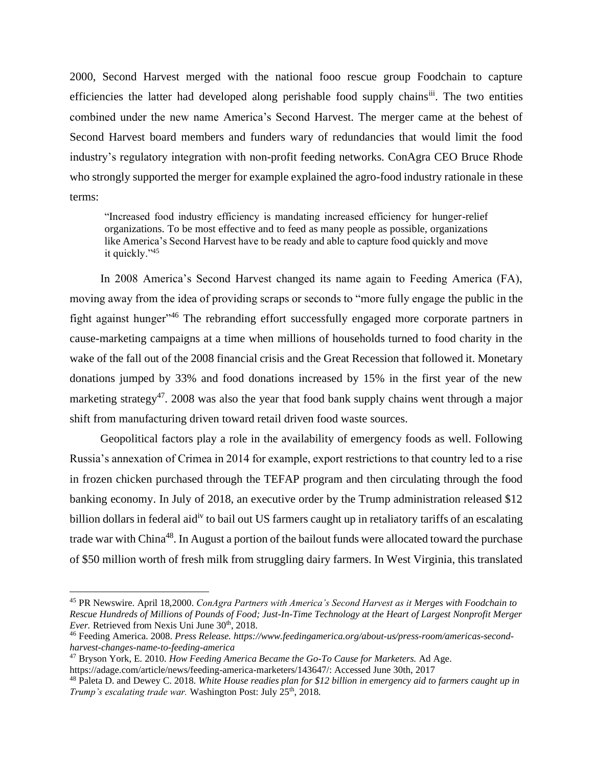2000, Second Harvest merged with the national fooo rescue group Foodchain to capture efficiencies the latter had developed along perishable food supply chains<sup>iii</sup>. The two entities combined under the new name America's Second Harvest. The merger came at the behest of Second Harvest board members and funders wary of redundancies that would limit the food industry's regulatory integration with non-profit feeding networks. ConAgra CEO Bruce Rhode who strongly supported the merger for example explained the agro-food industry rationale in these terms:

"Increased food industry efficiency is mandating increased efficiency for hunger-relief organizations. To be most effective and to feed as many people as possible, organizations like America's Second Harvest have to be ready and able to capture food quickly and move it quickly."<sup>45</sup>

In 2008 America's Second Harvest changed its name again to Feeding America (FA), moving away from the idea of providing scraps or seconds to "more fully engage the public in the fight against hunger"<sup>46</sup> The rebranding effort successfully engaged more corporate partners in cause-marketing campaigns at a time when millions of households turned to food charity in the wake of the fall out of the 2008 financial crisis and the Great Recession that followed it. Monetary donations jumped by 33% and food donations increased by 15% in the first year of the new marketing strategy<sup>47</sup>. 2008 was also the year that food bank supply chains went through a major shift from manufacturing driven toward retail driven food waste sources.

Geopolitical factors play a role in the availability of emergency foods as well. Following Russia's annexation of Crimea in 2014 for example, export restrictions to that country led to a rise in frozen chicken purchased through the TEFAP program and then circulating through the food banking economy. In July of 2018, an executive order by the Trump administration released \$12 billion dollars in federal aid<sup>iv</sup> to bail out US farmers caught up in retaliatory tariffs of an escalating trade war with China<sup>48</sup>. In August a portion of the bailout funds were allocated toward the purchase of \$50 million worth of fresh milk from struggling dairy farmers. In West Virginia, this translated

<sup>45</sup> PR Newswire. April 18,2000. *ConAgra Partners with America's Second Harvest as it Merges with Foodchain to Rescue Hundreds of Millions of Pounds of Food; Just-In-Time Technology at the Heart of Largest Nonprofit Merger Ever.* Retrieved from Nexis Uni June 30<sup>th</sup>, 2018.

<sup>46</sup> Feeding America. 2008. *Press Release. https://www.feedingamerica.org/about-us/press-room/americas-secondharvest-changes-name-to-feeding-america*

<sup>47</sup> Bryson York, E. 2010. *How Feeding America Became the Go-To Cause for Marketers.* Ad Age.

https://adage.com/article/news/feeding-america-marketers/143647/: Accessed June 30th, 2017

<sup>48</sup> Paleta D. and Dewey C. 2018. *White House readies plan for \$12 billion in emergency aid to farmers caught up in Trump's escalating trade war.* Washington Post: July 25<sup>th</sup>, 2018.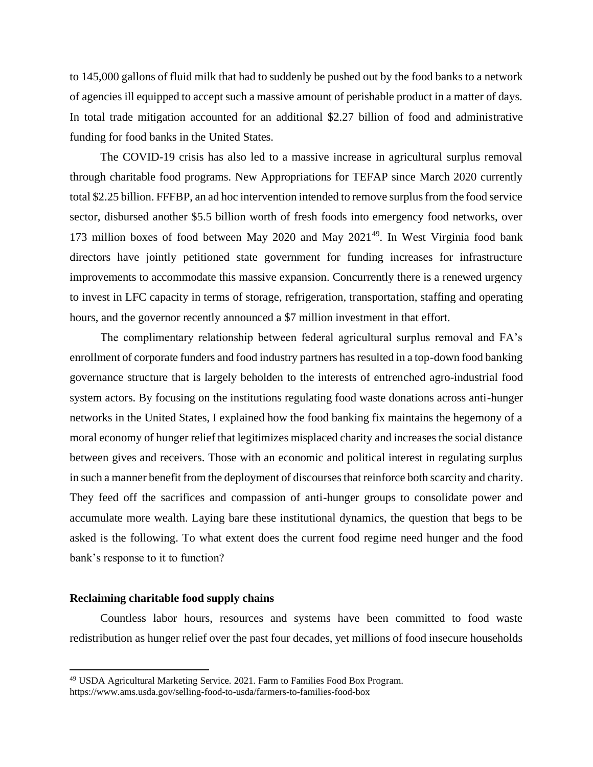to 145,000 gallons of fluid milk that had to suddenly be pushed out by the food banks to a network of agencies ill equipped to accept such a massive amount of perishable product in a matter of days. In total trade mitigation accounted for an additional \$2.27 billion of food and administrative funding for food banks in the United States.

The COVID-19 crisis has also led to a massive increase in agricultural surplus removal through charitable food programs. New Appropriations for TEFAP since March 2020 currently total \$2.25 billion. FFFBP, an ad hoc intervention intended to remove surplus from the food service sector, disbursed another \$5.5 billion worth of fresh foods into emergency food networks, over 173 million boxes of food between May 2020 and May  $2021^{49}$ . In West Virginia food bank directors have jointly petitioned state government for funding increases for infrastructure improvements to accommodate this massive expansion. Concurrently there is a renewed urgency to invest in LFC capacity in terms of storage, refrigeration, transportation, staffing and operating hours, and the governor recently announced a \$7 million investment in that effort.

The complimentary relationship between federal agricultural surplus removal and FA's enrollment of corporate funders and food industry partners has resulted in a top-down food banking governance structure that is largely beholden to the interests of entrenched agro-industrial food system actors. By focusing on the institutions regulating food waste donations across anti-hunger networks in the United States, I explained how the food banking fix maintains the hegemony of a moral economy of hunger relief that legitimizes misplaced charity and increases the social distance between gives and receivers. Those with an economic and political interest in regulating surplus in such a manner benefit from the deployment of discourses that reinforce both scarcity and charity. They feed off the sacrifices and compassion of anti-hunger groups to consolidate power and accumulate more wealth. Laying bare these institutional dynamics, the question that begs to be asked is the following. To what extent does the current food regime need hunger and the food bank's response to it to function?

# **Reclaiming charitable food supply chains**

Countless labor hours, resources and systems have been committed to food waste redistribution as hunger relief over the past four decades, yet millions of food insecure households

<sup>&</sup>lt;sup>49</sup> USDA Agricultural Marketing Service. 2021. Farm to Families Food Box Program. https://www.ams.usda.gov/selling-food-to-usda/farmers-to-families-food-box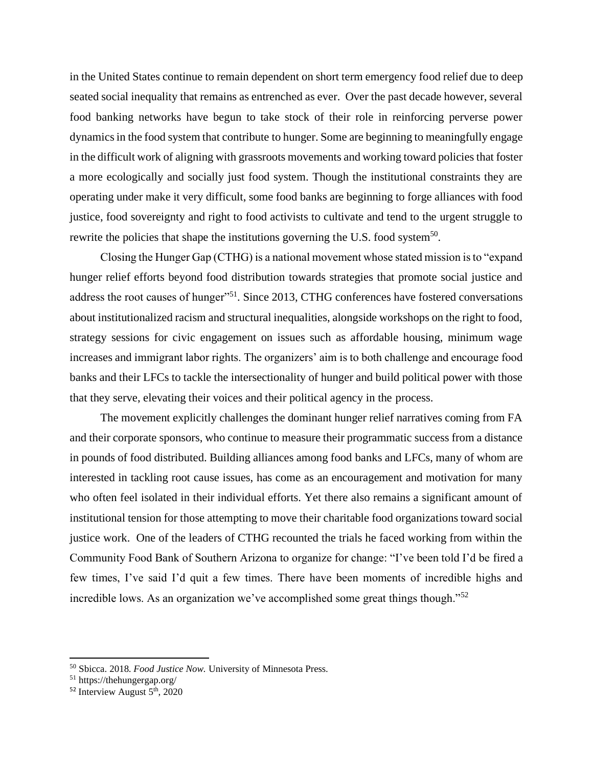in the United States continue to remain dependent on short term emergency food relief due to deep seated social inequality that remains as entrenched as ever. Over the past decade however, several food banking networks have begun to take stock of their role in reinforcing perverse power dynamics in the food system that contribute to hunger. Some are beginning to meaningfully engage in the difficult work of aligning with grassroots movements and working toward policies that foster a more ecologically and socially just food system. Though the institutional constraints they are operating under make it very difficult, some food banks are beginning to forge alliances with food justice, food sovereignty and right to food activists to cultivate and tend to the urgent struggle to rewrite the policies that shape the institutions governing the U.S. food system<sup>50</sup>.

Closing the Hunger Gap (CTHG) is a national movement whose stated mission is to "expand hunger relief efforts beyond food distribution towards strategies that promote social justice and address the root causes of hunger"<sup>51</sup>. Since 2013, CTHG conferences have fostered conversations about institutionalized racism and structural inequalities, alongside workshops on the right to food, strategy sessions for civic engagement on issues such as affordable housing, minimum wage increases and immigrant labor rights. The organizers' aim is to both challenge and encourage food banks and their LFCs to tackle the intersectionality of hunger and build political power with those that they serve, elevating their voices and their political agency in the process.

The movement explicitly challenges the dominant hunger relief narratives coming from FA and their corporate sponsors, who continue to measure their programmatic success from a distance in pounds of food distributed. Building alliances among food banks and LFCs, many of whom are interested in tackling root cause issues, has come as an encouragement and motivation for many who often feel isolated in their individual efforts. Yet there also remains a significant amount of institutional tension for those attempting to move their charitable food organizations toward social justice work. One of the leaders of CTHG recounted the trials he faced working from within the Community Food Bank of Southern Arizona to organize for change: "I've been told I'd be fired a few times, I've said I'd quit a few times. There have been moments of incredible highs and incredible lows. As an organization we've accomplished some great things though."<sup>52</sup>

<sup>50</sup> Sbicca. 2018. *Food Justice Now.* University of Minnesota Press.

<sup>51</sup> https://thehungergap.org/

 $52$  Interview August  $5<sup>th</sup>$ , 2020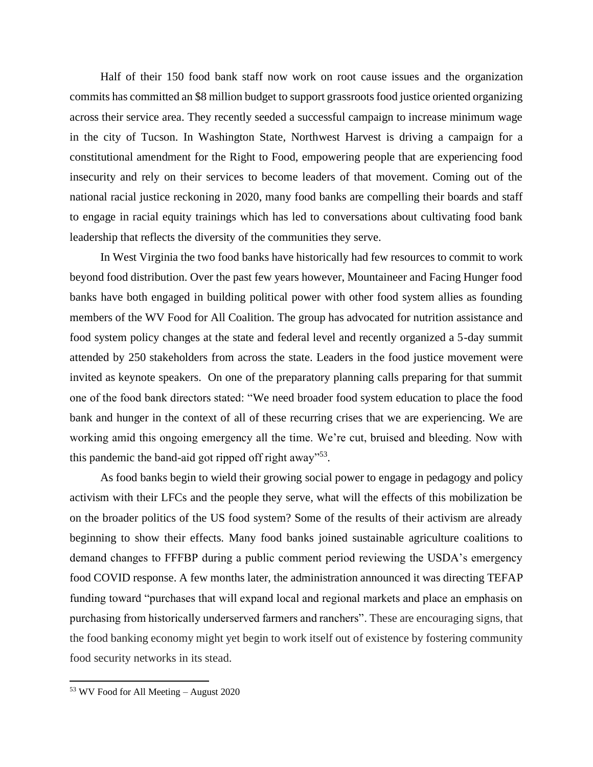Half of their 150 food bank staff now work on root cause issues and the organization commits has committed an \$8 million budget to support grassroots food justice oriented organizing across their service area. They recently seeded a successful campaign to increase minimum wage in the city of Tucson. In Washington State, Northwest Harvest is driving a campaign for a constitutional amendment for the Right to Food, empowering people that are experiencing food insecurity and rely on their services to become leaders of that movement. Coming out of the national racial justice reckoning in 2020, many food banks are compelling their boards and staff to engage in racial equity trainings which has led to conversations about cultivating food bank leadership that reflects the diversity of the communities they serve.

In West Virginia the two food banks have historically had few resources to commit to work beyond food distribution. Over the past few years however, Mountaineer and Facing Hunger food banks have both engaged in building political power with other food system allies as founding members of the WV Food for All Coalition. The group has advocated for nutrition assistance and food system policy changes at the state and federal level and recently organized a 5-day summit attended by 250 stakeholders from across the state. Leaders in the food justice movement were invited as keynote speakers. On one of the preparatory planning calls preparing for that summit one of the food bank directors stated: "We need broader food system education to place the food bank and hunger in the context of all of these recurring crises that we are experiencing. We are working amid this ongoing emergency all the time. We're cut, bruised and bleeding. Now with this pandemic the band-aid got ripped off right away"<sup>53</sup>.

As food banks begin to wield their growing social power to engage in pedagogy and policy activism with their LFCs and the people they serve, what will the effects of this mobilization be on the broader politics of the US food system? Some of the results of their activism are already beginning to show their effects. Many food banks joined sustainable agriculture coalitions to demand changes to FFFBP during a public comment period reviewing the USDA's emergency food COVID response. A few months later, the administration announced it was directing TEFAP funding toward "purchases that will expand local and regional markets and place an emphasis on purchasing from historically underserved farmers and ranchers". These are encouraging signs, that the food banking economy might yet begin to work itself out of existence by fostering community food security networks in its stead.

<sup>53</sup> WV Food for All Meeting – August 2020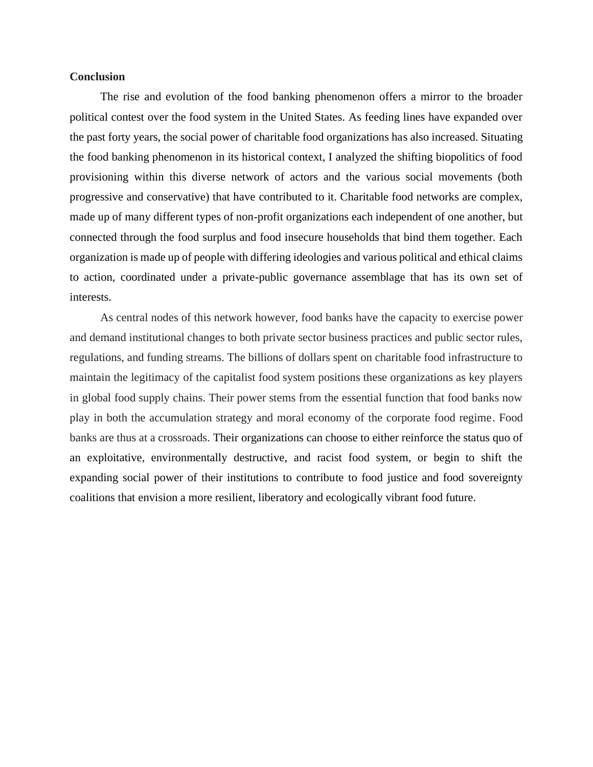### **Conclusion**

The rise and evolution of the food banking phenomenon offers a mirror to the broader political contest over the food system in the United States. As feeding lines have expanded over the past forty years, the social power of charitable food organizations has also increased. Situating the food banking phenomenon in its historical context, I analyzed the shifting biopolitics of food provisioning within this diverse network of actors and the various social movements (both progressive and conservative) that have contributed to it. Charitable food networks are complex, made up of many different types of non-profit organizations each independent of one another, but connected through the food surplus and food insecure households that bind them together. Each organization is made up of people with differing ideologies and various political and ethical claims to action, coordinated under a private-public governance assemblage that has its own set of interests.

As central nodes of this network however, food banks have the capacity to exercise power and demand institutional changes to both private sector business practices and public sector rules, regulations, and funding streams. The billions of dollars spent on charitable food infrastructure to maintain the legitimacy of the capitalist food system positions these organizations as key players in global food supply chains. Their power stems from the essential function that food banks now play in both the accumulation strategy and moral economy of the corporate food regime. Food banks are thus at a crossroads. Their organizations can choose to either reinforce the status quo of an exploitative, environmentally destructive, and racist food system, or begin to shift the expanding social power of their institutions to contribute to food justice and food sovereignty coalitions that envision a more resilient, liberatory and ecologically vibrant food future.